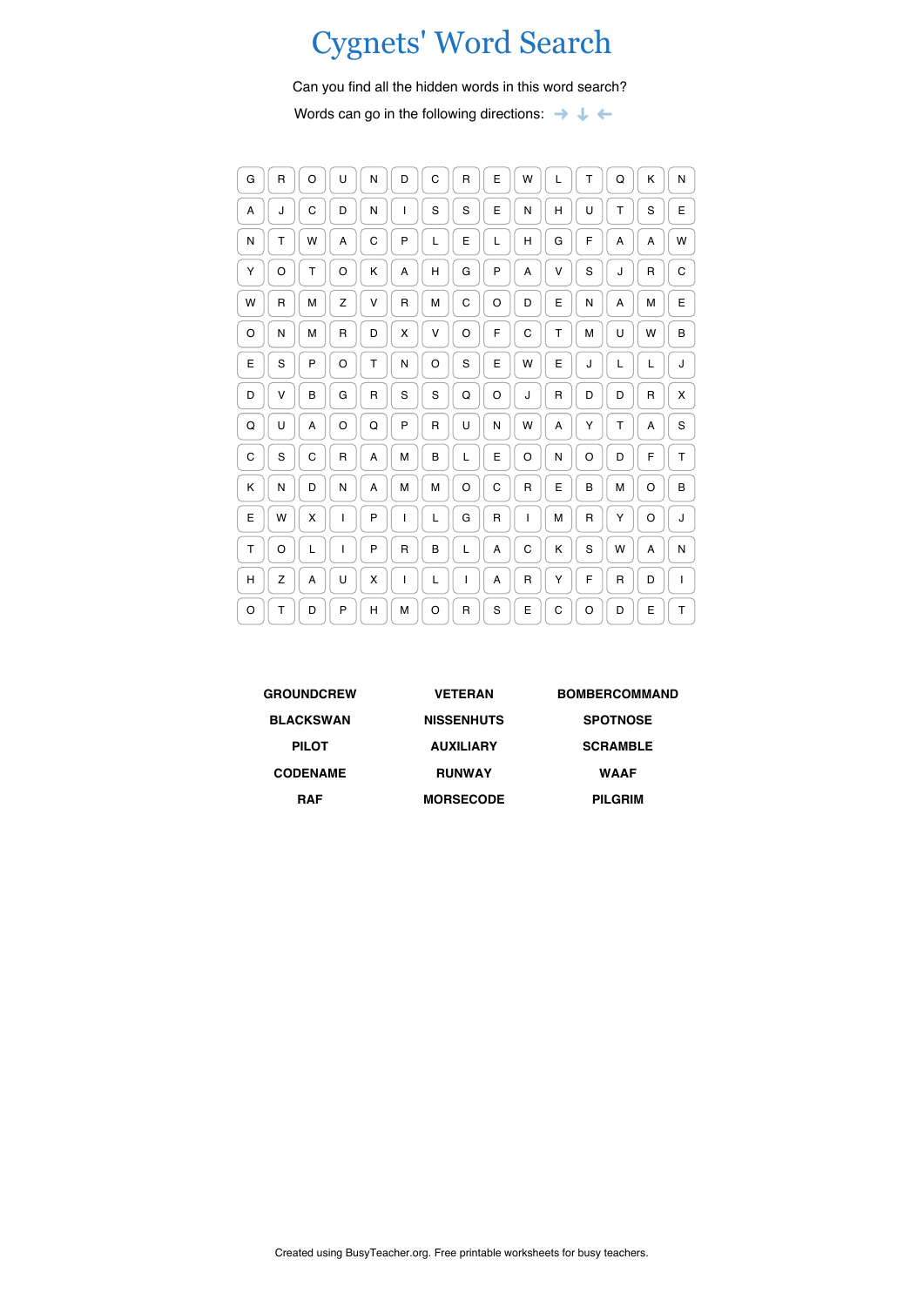## Cygnets' Word Search

Can you find all the hidden words in this word search?

Words can go in the following directions:  $\rightarrow \rightarrow \rightarrow$ 

| G | $\mathsf{R}$ | O | U | N           | D            | C | R            | E            | W            | L | T            | Q | Κ | N |
|---|--------------|---|---|-------------|--------------|---|--------------|--------------|--------------|---|--------------|---|---|---|
| A | J            | C | D | N           | $\mathsf{I}$ | S | S            | E            | N            | н | U            | T | S | E |
| N | T            | W | Α | C           | P            | L | E            | L            | Н            | G | F            | Α | А | W |
| Υ | O            | т | O | Κ           | Α            | Н | G            | P            | Α            | V | S            | J | R | С |
| W | $\mathsf R$  | M | Z | V           | $\mathsf{R}$ | M | C            | O            | D            | E | N            | Α | М | E |
| O | N            | М | R | D           | Χ            | V | O            | F            | C            | т | M            | U | W | B |
| E | S            | P | O | Т           | N            | O | S            | E            | W            | E | J            | L | L | J |
| D | ٧            | B | G | $\mathsf R$ | S            | S | Q            | O            | J            | R | D            | D | R | х |
| Q | U            | А | O | Q           | P            | R | U            | N            | W            | А | Υ            | T | Α | S |
| C | S            | C | R | A           | M            | B | L            | E            | O            | N | O            | D | F | T |
| K | N            | D | N | A           | M            | M | O            | C            | $\mathsf{R}$ | E | B            | M | O | B |
| E | W            | X | I | P           | $\mathsf{I}$ | L | G            | $\mathsf{R}$ | $\mathbf{I}$ | M | $\mathsf{R}$ | Y | O | J |
| Τ | O            | L | ı | P           | $\mathsf{R}$ | B | L            | A            | C            | Κ | S            | W | A | N |
| H | Z            | Α | U | x           | I            | L | I            | Α            | R            | Υ | F            | R | D | I |
| O | T            | D | P | H           | M            | O | $\mathsf{R}$ | S            | E            | C | O            | D | E | T |

| <b>GROUNDCREW</b> | <b>VETERAN</b>    | <b>BOMBERCOMMAND</b> |
|-------------------|-------------------|----------------------|
| <b>BLACKSWAN</b>  | <b>NISSENHUTS</b> | <b>SPOTNOSE</b>      |
| <b>PILOT</b>      | <b>AUXILIARY</b>  | <b>SCRAMBLE</b>      |
| <b>CODENAME</b>   | <b>RUNWAY</b>     | <b>WAAF</b>          |
| <b>RAF</b>        | <b>MORSECODE</b>  | <b>PILGRIM</b>       |
|                   |                   |                      |